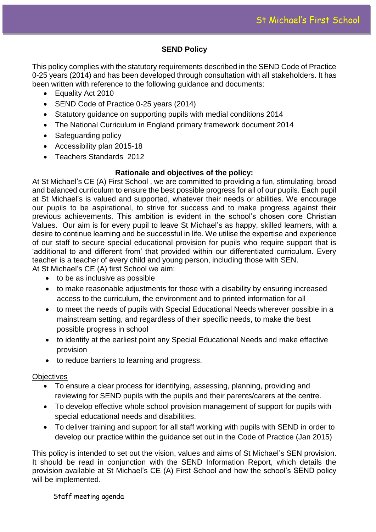# **SEND Policy**

This policy complies with the statutory requirements described in the SEND Code of Practice 0-25 years (2014) and has been developed through consultation with all stakeholders. It has been written with reference to the following guidance and documents:

- Equality Act 2010
- SEND Code of Practice 0-25 years (2014)
- Statutory quidance on supporting pupils with medial conditions 2014
- The National Curriculum in England primary framework document 2014
- Safeguarding policy
- Accessibility plan 2015-18
- Teachers Standards 2012

# **Rationale and objectives of the policy:**

At St Michael's CE (A) First School , we are committed to providing a fun, stimulating, broad and balanced curriculum to ensure the best possible progress for all of our pupils. Each pupil at St Michael's is valued and supported, whatever their needs or abilities. We encourage our pupils to be aspirational, to strive for success and to make progress against their previous achievements. This ambition is evident in the school's chosen core Christian Values. Our aim is for every pupil to leave St Michael's as happy, skilled learners, with a desire to continue learning and be successful in life. We utilise the expertise and experience of our staff to secure special educational provision for pupils who require support that is 'additional to and different from' that provided within our differentiated curriculum. Every teacher is a teacher of every child and young person, including those with SEN. At St Michael's CE (A) first School we aim:

- to be as inclusive as possible
- to make reasonable adjustments for those with a disability by ensuring increased access to the curriculum, the environment and to printed information for all
- to meet the needs of pupils with Special Educational Needs wherever possible in a mainstream setting, and regardless of their specific needs, to make the best possible progress in school
- to identify at the earliest point any Special Educational Needs and make effective provision
- to reduce barriers to learning and progress.

# **Objectives**

- To ensure a clear process for identifying, assessing, planning, providing and reviewing for SEND pupils with the pupils and their parents/carers at the centre.
- To develop effective whole school provision management of support for pupils with special educational needs and disabilities.
- To deliver training and support for all staff working with pupils with SEND in order to develop our practice within the guidance set out in the Code of Practice (Jan 2015)

This policy is intended to set out the vision, values and aims of St Michael's SEN provision. It should be read in conjunction with the SEND Information Report, which details the provision available at St Michael's CE (A) First School and how the school's SEND policy will be implemented.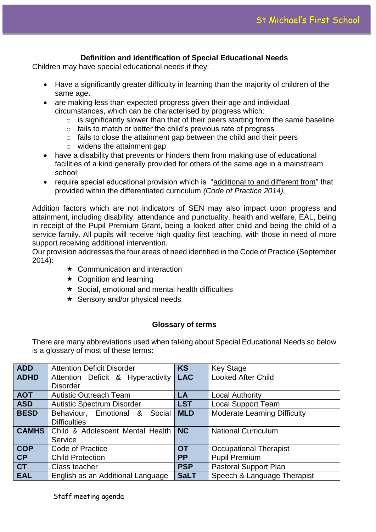## **Definition and identification of Special Educational Needs**

Children may have special educational needs if they:

- Have a significantly greater difficulty in learning than the majority of children of the same age.
- are making less than expected progress given their age and individual circumstances, which can be characterised by progress which:
	- $\circ$  is significantly slower than that of their peers starting from the same baseline
	- o fails to match or better the child's previous rate of progress
	- $\circ$  fails to close the attainment gap between the child and their peers
	- o widens the attainment gap
- have a disability that prevents or hinders them from making use of educational facilities of a kind generally provided for others of the same age in a mainstream school;
- require special educational provision which is "additional to and different from" that provided within the differentiated curriculum *(Code of Practice 2014).*

Addition factors which are not indicators of SEN may also impact upon progress and attainment, including disability, attendance and punctuality, health and welfare, EAL, being in receipt of the Pupil Premium Grant, being a looked after child and being the child of a service family. All pupils will receive high quality first teaching, with those in need of more support receiving additional intervention.

Our provision addresses the four areas of need identified in the Code of Practice (September 2014):

- $\star$  Communication and interaction
- $\star$  Cognition and learning
- $\star$  Social, emotional and mental health difficulties
- $\star$  Sensory and/or physical needs

#### **Glossary of terms**

There are many abbreviations used when talking about Special Educational Needs so below is a glossary of most of these terms:

| <b>ADD</b>   | <b>Attention Deficit Disorder</b> | <b>KS</b>   | <b>Key Stage</b>                    |
|--------------|-----------------------------------|-------------|-------------------------------------|
| <b>ADHD</b>  | Attention Deficit & Hyperactivity | <b>LAC</b>  | <b>Looked After Child</b>           |
|              | <b>Disorder</b>                   |             |                                     |
| <b>AOT</b>   | <b>Autistic Outreach Team</b>     | LA          | <b>Local Authority</b>              |
| <b>ASD</b>   | <b>Autistic Spectrum Disorder</b> | <b>LST</b>  | <b>Local Support Team</b>           |
| <b>BESD</b>  | Behaviour, Emotional &<br>Social  | <b>MLD</b>  | <b>Moderate Learning Difficulty</b> |
|              | <b>Difficulties</b>               |             |                                     |
| <b>CAMHS</b> | Child & Adolescent Mental Health  | <b>NC</b>   | <b>National Curriculum</b>          |
|              | Service                           |             |                                     |
| <b>COP</b>   | Code of Practice                  | <b>OT</b>   | <b>Occupational Therapist</b>       |
| CP           | <b>Child Protection</b>           | <b>PP</b>   | <b>Pupil Premium</b>                |
| <b>CT</b>    | Class teacher                     | <b>PSP</b>  | <b>Pastoral Support Plan</b>        |
| <b>EAL</b>   | English as an Additional Language | <b>SaLT</b> | Speech & Language Therapist         |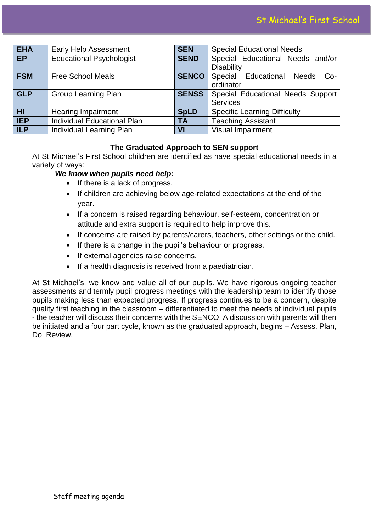| <b>EHA</b>     | <b>Early Help Assessment</b>    | <b>SEN</b>   | <b>Special Educational Needs</b>    |
|----------------|---------------------------------|--------------|-------------------------------------|
| EP             | <b>Educational Psychologist</b> | <b>SEND</b>  | Special Educational Needs and/or    |
|                |                                 |              | <b>Disability</b>                   |
| <b>FSM</b>     | <b>Free School Meals</b>        | <b>SENCO</b> | Special Educational Needs<br>$Co-$  |
|                |                                 |              | ordinator                           |
| <b>GLP</b>     | <b>Group Learning Plan</b>      | <b>SENSS</b> | Special Educational Needs Support   |
|                |                                 |              | <b>Services</b>                     |
| H <sub>l</sub> | <b>Hearing Impairment</b>       | <b>SpLD</b>  | <b>Specific Learning Difficulty</b> |
| <b>IEP</b>     | Individual Educational Plan     | <b>TA</b>    | <b>Teaching Assistant</b>           |
| <b>ILP</b>     | Individual Learning Plan        | VI           | <b>Visual Impairment</b>            |

### **The Graduated Approach to SEN support**

At St Michael's First School children are identified as have special educational needs in a variety of ways:

### *We know when pupils need help:*

- If there is a lack of progress.
- If children are achieving below age-related expectations at the end of the year.
- If a concern is raised regarding behaviour, self-esteem, concentration or attitude and extra support is required to help improve this.
- If concerns are raised by parents/carers, teachers, other settings or the child.
- If there is a change in the pupil's behaviour or progress.
- If external agencies raise concerns.
- If a health diagnosis is received from a paediatrician.

At St Michael's, we know and value all of our pupils. We have rigorous ongoing teacher assessments and termly pupil progress meetings with the leadership team to identify those pupils making less than expected progress. If progress continues to be a concern, despite quality first teaching in the classroom – differentiated to meet the needs of individual pupils - the teacher will discuss their concerns with the SENCO. A discussion with parents will then be initiated and a four part cycle, known as the graduated approach, begins – Assess, Plan, Do, Review.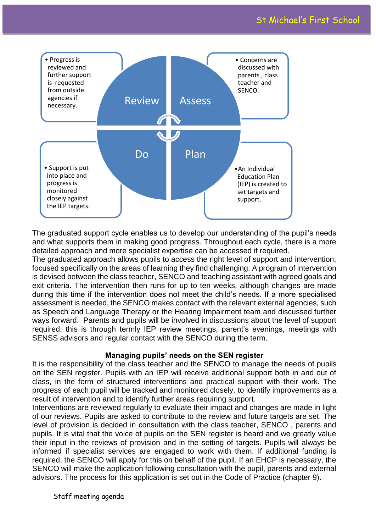

The graduated support cycle enables us to develop our understanding of the pupil's needs and what supports them in making good progress. Throughout each cycle, there is a more detailed approach and more specialist expertise can be accessed if required.

The graduated approach allows pupils to access the right level of support and intervention, focused specifically on the areas of learning they find challenging. A program of intervention is devised between the class teacher, SENCO and teaching assistant with agreed goals and exit criteria. The intervention then runs for up to ten weeks, although changes are made during this time if the intervention does not meet the child's needs. If a more specialised assessment is needed, the SENCO makes contact with the relevant external agencies, such as Speech and Language Therapy or the Hearing Impairment team and discussed further ways forward. Parents and pupils will be involved in discussions about the level of support required; this is through termly IEP review meetings, parent's evenings, meetings with SENSS advisors and regular contact with the SENCO during the term.

#### **Managing pupils' needs on the SEN register**

It is the responsibility of the class teacher and the SENCO to manage the needs of pupils on the SEN register. Pupils with an IEP will receive additional support both in and out of class, in the form of structured interventions and practical support with their work. The progress of each pupil will be tracked and monitored closely, to identify improvements as a result of intervention and to identify further areas requiring support.

Interventions are reviewed regularly to evaluate their impact and changes are made in light of our reviews. Pupils are asked to contribute to the review and future targets are set. The level of provision is decided in consultation with the class teacher, SENCO , parents and pupils. It is vital that the voice of pupils on the SEN register is heard and we greatly value their input in the reviews of provision and in the setting of targets. Pupils will always be informed if specialist services are engaged to work with them. If additional funding is required, the SENCO will apply for this on behalf of the pupil. If an EHCP is necessary, the SENCO will make the application following consultation with the pupil, parents and external advisors. The process for this application is set out in the Code of Practice (chapter 9).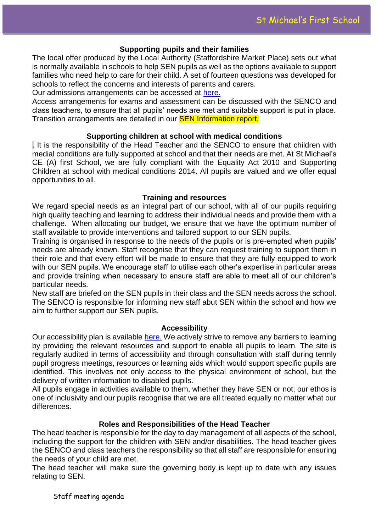### **Supporting pupils and their families**

The local offer produced by the Local Authority (Staffordshire Market Place) sets out what is normally available in schools to help SEN pupils as well as the options available to support families who need help to care for their child. A set of fourteen questions was developed for schools to reflect the concerns and interests of parents and carers.

Our admissions arrangements can be accessed at [here.](http://www.stmichaelspenkridgeschool.co.uk/information/school-policies/f)

Access arrangements for exams and assessment can be discussed with the SENCO and class teachers, to ensure that all pupils' needs are met and suitable support is put in place. Transition arrangements are detailed in our **SEN Information report.** 

#### **Supporting children at school with medical conditions**

. It is the responsibility of the Head Teacher and the SENCO to ensure that children with medial conditions are fully supported at school and that their needs are met. At St Michael's CE (A) first School, we are fully compliant with the Equality Act 2010 and Supporting Children at school with medical conditions 2014. All pupils are valued and we offer equal opportunities to all.

#### **Training and resources**

We regard special needs as an integral part of our school, with all of our pupils requiring high quality teaching and learning to address their individual needs and provide them with a challenge. When allocating our budget, we ensure that we have the optimum number of staff available to provide interventions and tailored support to our SEN pupils.

Training is organised in response to the needs of the pupils or is pre-empted when pupils' needs are already known. Staff recognise that they can request training to support them in their role and that every effort will be made to ensure that they are fully equipped to work with our SEN pupils. We encourage staff to utilise each other's expertise in particular areas and provide training when necessary to ensure staff are able to meet all of our children's particular needs.

New staff are briefed on the SEN pupils in their class and the SEN needs across the school. The SENCO is responsible for informing new staff abut SEN within the school and how we aim to further support our SEN pupils.

#### **Accessibility**

Our accessibility plan is available [here.](http://www.stmichaelspenkridgeschool.co.uk/information/school-policies/f) We actively strive to remove any barriers to learning by providing the relevant resources and support to enable all pupils to learn. The site is regularly audited in terms of accessibility and through consultation with staff during termly pupil progress meetings, resources or learning aids which would support specific pupils are identified. This involves not only access to the physical environment of school, but the delivery of written information to disabled pupils.

All pupils engage in activities available to them, whether they have SEN or not; our ethos is one of inclusivity and our pupils recognise that we are all treated equally no matter what our differences.

#### **Roles and Responsibilities of the Head Teacher**

The head teacher is responsible for the day to day management of all aspects of the school, including the support for the children with SEN and/or disabilities. The head teacher gives the SENCO and class teachers the responsibility so that all staff are responsible for ensuring the needs of your child are met.

The head teacher will make sure the governing body is kept up to date with any issues relating to SEN.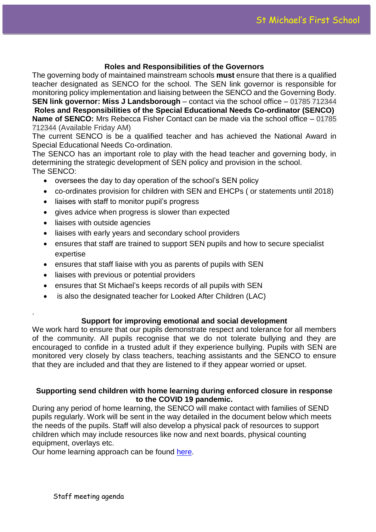### **Roles and Responsibilities of the Governors**

The governing body of maintained mainstream schools **must** ensure that there is a qualified teacher designated as SENCO for the school. The SEN link governor is responsible for monitoring policy implementation and liaising between the SENCO and the Governing Body. **SEN link governor: Miss J Landsborough** – contact via the school office – 01785 712344 **Roles and Responsibilities of the Special Educational Needs Co-ordinator (SENCO) Name of SENCO:** Mrs Rebecca Fisher Contact can be made via the school office – 01785 712344 (Available Friday AM)

The current SENCO is be a qualified teacher and has achieved the National Award in Special Educational Needs Co-ordination.

The SENCO has an important role to play with the head teacher and governing body, in determining the strategic development of SEN policy and provision in the school. The SENCO:

- oversees the day to day operation of the school's SEN policy
- co-ordinates provision for children with SEN and EHCPs ( or statements until 2018)
- liaises with staff to monitor pupil's progress
- gives advice when progress is slower than expected
- liaises with outside agencies

.

- liaises with early years and secondary school providers
- ensures that staff are trained to support SEN pupils and how to secure specialist expertise
- ensures that staff liaise with you as parents of pupils with SEN
- liaises with previous or potential providers
- ensures that St Michael's keeps records of all pupils with SEN
- is also the designated teacher for Looked After Children (LAC)

#### **Support for improving emotional and social development**

We work hard to ensure that our pupils demonstrate respect and tolerance for all members of the community. All pupils recognise that we do not tolerate bullying and they are encouraged to confide in a trusted adult if they experience bullying. Pupils with SEN are monitored very closely by class teachers, teaching assistants and the SENCO to ensure that they are included and that they are listened to if they appear worried or upset.

#### **Supporting send children with home learning during enforced closure in response to the COVID 19 pandemic.**

During any period of home learning, the SENCO will make contact with families of SEND pupils regularly. Work will be sent in the way detailed in the document below which meets the needs of the pupils. Staff will also develop a physical pack of resources to support children which may include resources like now and next boards, physical counting equipment, overlays etc.

Our home learning approach can be found [here.](file://///bmp-sr-001/Staff/b.fisher/Downloads/Home_Learning_at_St_Michael)